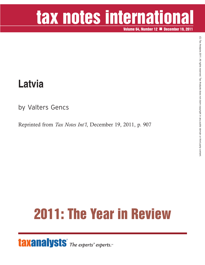# tax notes international

**Volume 64, Number 12 December 19, 2011**

### **Latvia**

by Valters Gencs

Reprinted from *Tax Notes Int'l*, December 19, 2011, p. 907

## **2011: The Year in Review**

**taxanalysts** The experts' experts.<sup>®</sup>